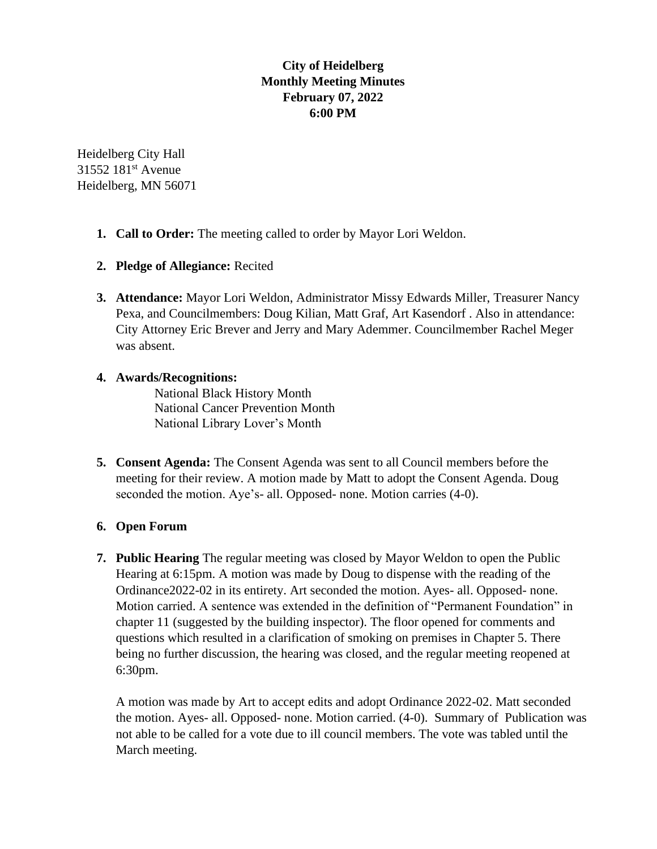# **City of Heidelberg Monthly Meeting Minutes February 07, 2022 6:00 PM**

Heidelberg City Hall 31552 181<sup>st</sup> Avenue Heidelberg, MN 56071

- **1. Call to Order:** The meeting called to order by Mayor Lori Weldon.
- **2. Pledge of Allegiance:** Recited
- **3. Attendance:** Mayor Lori Weldon, Administrator Missy Edwards Miller, Treasurer Nancy Pexa, and Councilmembers: Doug Kilian, Matt Graf, Art Kasendorf . Also in attendance: City Attorney Eric Brever and Jerry and Mary Ademmer. Councilmember Rachel Meger was absent.

### **4. Awards/Recognitions:**

National Black History Month National Cancer Prevention Month National Library Lover's Month

**5. Consent Agenda:** The Consent Agenda was sent to all Council members before the meeting for their review. A motion made by Matt to adopt the Consent Agenda. Doug seconded the motion. Aye's- all. Opposed- none. Motion carries (4-0).

## **6. Open Forum**

**7. Public Hearing** The regular meeting was closed by Mayor Weldon to open the Public Hearing at 6:15pm. A motion was made by Doug to dispense with the reading of the Ordinance2022-02 in its entirety. Art seconded the motion. Ayes- all. Opposed- none. Motion carried. A sentence was extended in the definition of "Permanent Foundation" in chapter 11 (suggested by the building inspector). The floor opened for comments and questions which resulted in a clarification of smoking on premises in Chapter 5. There being no further discussion, the hearing was closed, and the regular meeting reopened at 6:30pm.

A motion was made by Art to accept edits and adopt Ordinance 2022-02. Matt seconded the motion. Ayes- all. Opposed- none. Motion carried. (4-0). Summary of Publication was not able to be called for a vote due to ill council members. The vote was tabled until the March meeting.